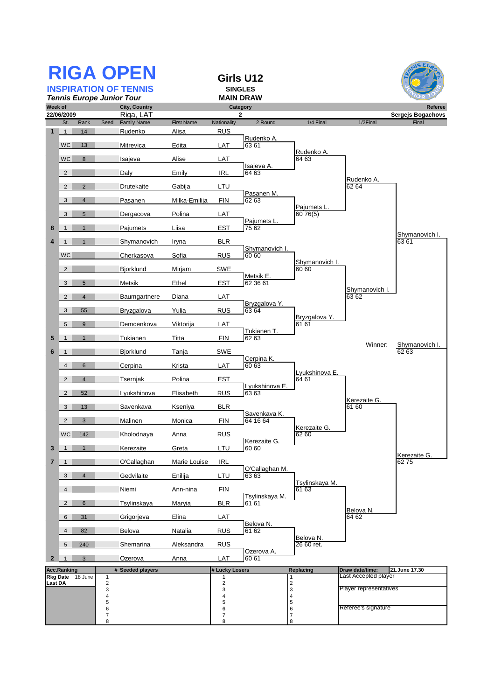|                              |                    |                  | <b>RIGA OPEN</b>                                         |                                   |                           | Girls U12                    |                              |                                         |                         |
|------------------------------|--------------------|------------------|----------------------------------------------------------|-----------------------------------|---------------------------|------------------------------|------------------------------|-----------------------------------------|-------------------------|
| <b>INSPIRATION OF TENNIS</b> |                    |                  |                                                          | <b>SINGLES</b>                    |                           |                              |                              |                                         |                         |
| Week of                      |                    |                  | <b>Tennis Europe Junior Tour</b><br><b>City, Country</b> |                                   |                           | <b>MAIN DRAW</b><br>Category |                              |                                         | Referee                 |
|                              | 22/06/2009         |                  | Riga, LAT                                                |                                   |                           | $\mathbf{2}$                 |                              |                                         | Sergejs Bogachovs       |
| 1                            | St.<br>1           | Rank<br>14       | Seed<br><b>Family Name</b><br>Rudenko                    | <b>First Name</b><br><u>Alisa</u> | Nationality<br><b>RUS</b> | 2 Round                      | 1/4 Final                    | 1/2Final                                | Final                   |
|                              | <b>WC</b>          | 13               | Mitrevica                                                | Edita                             | LAT                       | Rudenko A<br>63 61           |                              |                                         |                         |
|                              | <b>WC</b>          | 8                | Isajeva                                                  | Alise                             | LAT                       |                              | Rudenko A.<br>64 63          |                                         |                         |
|                              | $\overline{2}$     |                  | Daly                                                     | Emily                             | <b>IRL</b>                | Isajeva A.<br>64 63          |                              |                                         |                         |
|                              | $\overline{2}$     | 2                | Drutekaite                                               | Gabija                            | LTU                       |                              |                              | Rudenko A.<br>62 64                     |                         |
|                              | 3                  | $\overline{4}$   | Pasanen                                                  | Milka-Emilija                     | <b>FIN</b>                | Pasanen M.<br>62 63          |                              |                                         |                         |
|                              | 3                  | $5\phantom{.0}$  | Dergacova                                                | Polina                            | LAT                       |                              | Pajumets L<br>60 76(5)       |                                         |                         |
| 8                            | $\mathbf{1}$       | $\mathbf 1$      | Pajumets                                                 | Liisa                             | <b>EST</b>                | Pajumets L.<br>75 62         |                              |                                         |                         |
| $\boldsymbol{4}$             | $\mathbf{1}$       | $\mathbf{1}$     | Shymanovich                                              | Iryna                             | <b>BLR</b>                |                              |                              |                                         | Shymanovich I.<br>63 61 |
|                              | <b>WC</b>          |                  | Cherkasova                                               | Sofia                             | <b>RUS</b>                | Shymanovich I.<br>60 60      |                              |                                         |                         |
|                              | $\overline{2}$     |                  | <b>Bjorklund</b>                                         | Miriam                            | SWE                       |                              | Shymanovich I.<br>60 60      |                                         |                         |
|                              | 3                  | $5\phantom{.0}$  | Metsik                                                   | Ethel                             | <b>EST</b>                | Metsik E.<br>62 36 61        |                              |                                         |                         |
|                              | $\overline{2}$     | $\overline{4}$   | Baumgartnere                                             | Diana                             | LAT                       |                              |                              | Shymanovich I.<br>63 62                 |                         |
|                              | 3                  | 55               | Bryzgalova                                               | Yulia                             | <b>RUS</b>                | Bryzgalova Y.<br>63 64       |                              |                                         |                         |
|                              | 5                  | 9                | Demcenkova                                               | Viktorija                         | LAT                       |                              | Bryzgalova Y.<br>61 61       |                                         |                         |
| 5                            | $\mathbf{1}$       | $\mathbf{1}$     | Tukianen                                                 | Titta                             | <b>FIN</b>                | Tukianen T.<br>62 63         |                              |                                         |                         |
| 6                            | $\mathbf{1}$       |                  | Bjorklund                                                | Tanja                             | <b>SWE</b>                |                              |                              | Winner:                                 | Shymanovich I.<br>6263  |
|                              | $\overline{4}$     | 6                | Cerpina                                                  | Krista                            | LAT                       | Cerpina K.<br>60 63          |                              |                                         |                         |
|                              | $\overline{2}$     | $\overline{4}$   | Tsernjak                                                 | Polina                            | <b>EST</b>                | Lyukshinova E.               | Lyukshinova E.<br>64 61      |                                         |                         |
|                              | $\overline{2}$     | 52               | Lyukshinova                                              | Elisabeth                         | <b>RUS</b>                | 63 63                        |                              | Kerezaite G.                            |                         |
|                              | 3                  | 13               | Savenkava                                                | Kseniya                           | <b>BLR</b>                | Savenkava K.                 |                              | 61 60                                   |                         |
|                              | $\overline{2}$     | 3                | Malinen                                                  | Monica                            | <b>FIN</b>                | 64 16 64                     | Kerezaite G.                 |                                         |                         |
|                              | WC                 | 142              | Kholodnaya                                               | Anna                              | <b>RUS</b>                | Kerezaite G.                 | 62 60                        |                                         |                         |
| 3                            |                    |                  | Kerezaite                                                | Greta                             | LTU                       | 60 60                        |                              |                                         | Kerezaite G.            |
| $\overline{7}$               | $\mathbf{1}$       |                  | O'Callaghan                                              | Marie Louise                      | <b>IRL</b>                | O'Callaghan M.               |                              |                                         | 6275                    |
|                              | 3                  | $\overline{4}$   | Gedvilaite                                               | Enilija                           | LTU                       | 6363                         | Tsylinskaya M.               |                                         |                         |
|                              | $\overline{4}$     |                  | Niemi                                                    | Ann-nina                          | FIN                       | Tsylinskaya M.               | 61 63                        |                                         |                         |
|                              | $\overline{2}$     | 6                | Tsylinskaya                                              | Maryia                            | <b>BLR</b>                | 61 61                        |                              | Belova N.                               |                         |
|                              | 6                  | 31               | Grigorjeva                                               | Elina                             | LAT                       | Belova N.                    |                              | 64 62                                   |                         |
|                              | $\overline{4}$     | 82               | Belova                                                   | Natalia                           | <b>RUS</b>                | 61 62                        | Belova N.                    |                                         |                         |
|                              | 5                  | 240              | Shemarina                                                | Aleksandra                        | <b>RUS</b>                | Ozerova A.                   | 26 60 ret.                   |                                         |                         |
| 2                            |                    | 3                | Ozerova                                                  | Anna                              | LAT                       | 60 61                        |                              |                                         |                         |
|                              | <b>Acc.Ranking</b> | Rkg Date 18 June | # Seeded players<br>$\mathbf{1}$                         |                                   | # Lucky Losers<br>1       |                              | Replacing<br>$\mathbf{1}$    | Draw date/time:<br>Last Accepted player | 21.June 17.30           |
| <b>Last DA</b>               |                    |                  | $\sqrt{2}$<br>3                                          |                                   | $\mathbf 2$<br>3          |                              | $\mathbf 2$<br>3             | Player representatives                  |                         |
|                              |                    |                  | 4<br>5                                                   |                                   | 4<br>5                    |                              | $\overline{\mathbf{4}}$<br>5 |                                         |                         |
|                              |                    |                  | 6<br>$\overline{7}$                                      |                                   | 6<br>$\overline{7}$       |                              | 6<br>$\boldsymbol{7}$        | Referee's signature                     |                         |
|                              |                    |                  | 8                                                        |                                   | 8                         |                              | 8                            |                                         |                         |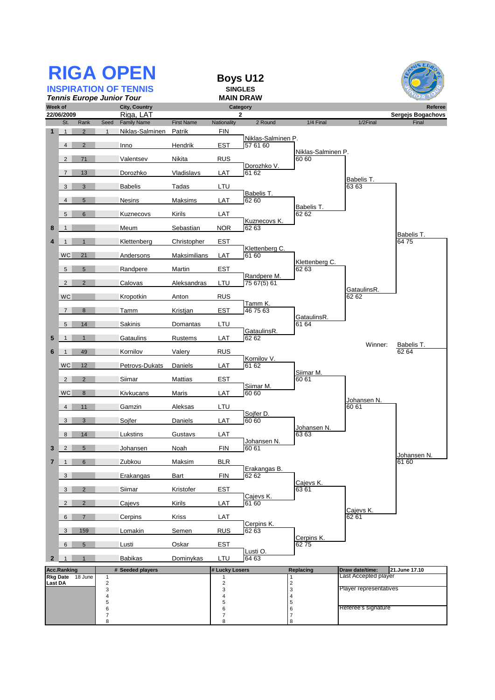|                |                     |                      |                              | <b>RIGA OPEN</b><br><b>INSPIRATION OF TENNIS</b><br><b>Tennis Europe Junior Tour</b> |                   |                     | <b>Boys U12</b><br><b>SINGLES</b><br><b>MAIN DRAW</b> |                                                 |                        | 5 EU                              |
|----------------|---------------------|----------------------|------------------------------|--------------------------------------------------------------------------------------|-------------------|---------------------|-------------------------------------------------------|-------------------------------------------------|------------------------|-----------------------------------|
| Week of        |                     |                      |                              | <b>City, Country</b>                                                                 |                   |                     | Category                                              |                                                 |                        | Referee                           |
|                | 22/06/2009<br>St.   | Rank                 | Seed                         | Riga, LAT<br><b>Family Name</b>                                                      | <b>First Name</b> | Nationality         | 2<br>2 Round                                          | 1/4 Final                                       | 1/2Final               | <b>Sergejs Bogachovs</b><br>Final |
| 1              | $\overline{1}$      | $\overline{2}$       | $\mathbf{1}$                 | Niklas-Salminen                                                                      | Patrik            | FIN                 |                                                       |                                                 |                        |                                   |
|                | $\overline{4}$      | $\overline{2}$       |                              | Inno                                                                                 | Hendrik           | <b>EST</b>          | Niklas-Salminen P.<br>57 61 60                        |                                                 |                        |                                   |
|                | $\overline{2}$      | 71                   |                              | Valentsev                                                                            | Nikita            | <b>RUS</b>          |                                                       | Niklas-Salminen P.<br>60 60                     |                        |                                   |
|                | $\overline{7}$      | 13                   |                              | Dorozhko                                                                             | Vladislavs        | LAT                 | Dorozhko V.<br>61 62                                  |                                                 |                        |                                   |
|                | 3                   | 3                    |                              |                                                                                      |                   | LTU                 |                                                       |                                                 | Babelis T.<br>63 63    |                                   |
|                |                     |                      |                              | <b>Babelis</b>                                                                       | Tadas             |                     | Babelis T.                                            |                                                 |                        |                                   |
|                | $\overline{4}$<br>5 | $5\phantom{.0}$<br>6 |                              | <b>Nesins</b><br>Kuznecovs                                                           | Maksims<br>Kirils | LAT<br>LAT          | 62 60                                                 | Babelis T.<br>62 62                             |                        |                                   |
|                |                     |                      |                              |                                                                                      |                   |                     | Kuznecovs K.                                          |                                                 |                        |                                   |
| 8              | $\mathbf{1}$        |                      |                              | Meum                                                                                 | Sebastian         | <b>NOR</b>          | 62 63                                                 |                                                 |                        | Babelis T.                        |
| 4              | $\mathbf{1}$        | $\mathbf{1}$         |                              | Klettenberg                                                                          | Christopher       | EST                 | Klettenberg C.                                        |                                                 |                        | 6475                              |
|                | <b>WC</b>           | 21                   |                              | Andersons                                                                            | Maksimilians      | LAT                 | 61 60                                                 | Klettenberg C.                                  |                        |                                   |
|                | 5 <sup>5</sup>      | $5\overline{)}$      |                              | Randpere                                                                             | Martin            | EST                 | Randpere M.                                           | 62 63                                           |                        |                                   |
|                | $\overline{2}$      | 2                    |                              | Calovas                                                                              | Aleksandras       | LTU                 | 75 67(5) 61                                           |                                                 | GataulinsR.            |                                   |
|                | <b>WC</b>           |                      |                              | Kropotkin                                                                            | Anton             | <b>RUS</b>          |                                                       |                                                 | 62 62                  |                                   |
|                | $\overline{7}$      | 8                    |                              | Tamm                                                                                 | Kristjan          | <b>EST</b>          | Tamm K.<br>467563                                     |                                                 |                        |                                   |
|                | 5 <sup>5</sup>      | 14                   |                              | Sakinis                                                                              | Domantas          | LTU                 |                                                       | GataulinsR.<br>61 64                            |                        |                                   |
| 5              | $\mathbf{1}$        | $\mathbf{1}$         |                              | Gataulins                                                                            | Rustems           | LAT                 | GataulinsR.<br>62 62                                  |                                                 |                        |                                   |
| 6              | $\mathbf{1}$        | 49                   |                              | Kornilov                                                                             | Valery            | <b>RUS</b>          |                                                       |                                                 | Winner:                | Babelis T.<br>62 64               |
|                | <b>WC</b>           | 12                   |                              | Petrovs-Dukats                                                                       | Daniels           | LAT                 | Kornilov V.<br>61 62                                  |                                                 |                        |                                   |
|                | $\overline{2}$      | $\overline{2}$       |                              | Siimar                                                                               | Mattias           | EST                 |                                                       | Sijmar M.<br>60 61                              |                        |                                   |
|                | <b>WC</b>           | 8                    |                              | Kivkucans                                                                            | Maris             | LAT                 | Siimar M.<br>60 60                                    |                                                 |                        |                                   |
|                | $\overline{4}$      | 11                   |                              | Gamzin                                                                               | Aleksas           | LTU                 |                                                       |                                                 | Johansen N.<br>60 61   |                                   |
|                | 3                   | 3                    |                              | Sojfer                                                                               | Daniels           | LAT                 | Sojfer D.<br>60 60                                    |                                                 |                        |                                   |
|                | 8 <sup>1</sup>      | 14                   |                              | Lukstins                                                                             | Gustavs           | I AT                |                                                       | Johansen N.<br>6363                             |                        |                                   |
| 3              | $\overline{2}$      | $5\phantom{.0}$      |                              | Johansen                                                                             | Noah              | <b>FIN</b>          | Johansen N.<br>60 61                                  |                                                 |                        |                                   |
| 7              | $\mathbf{1}$        | 6                    |                              | Zubkou                                                                               | Maksim            | <b>BLR</b>          |                                                       |                                                 |                        | Johansen N.<br>61 60              |
|                | 3                   |                      |                              | Erakangas                                                                            | Bart              | <b>FIN</b>          | Erakangas B.<br>62 62                                 |                                                 |                        |                                   |
|                | 3 <sup>1</sup>      | $\overline{2}$       |                              | Siimar                                                                               | Kristofer         | <b>EST</b>          |                                                       | Cajevs K.<br>6361                               |                        |                                   |
|                | $\overline{2}$      | $\overline{2}$       |                              | Cajevs                                                                               | Kirils            | LAT                 | Cajevs K.<br>61 60                                    |                                                 |                        |                                   |
|                | 6                   | $\overline{7}$       |                              | Cerpins                                                                              | Kriss             | LAT                 |                                                       |                                                 | Cajevs K.<br>62 61     |                                   |
|                | 3                   | 159                  |                              | Lomakin                                                                              | Semen             | <b>RUS</b>          | Cerpins K.<br>62 63                                   |                                                 |                        |                                   |
|                | 6                   | $5\phantom{.0}$      |                              | Lusti                                                                                | Oskar             | <b>EST</b>          |                                                       | Cerpins K.<br>6275                              |                        |                                   |
| $\mathbf{2}$   | $\mathbf{1}$        | $\mathbf{1}$         |                              | Babikas                                                                              | Dominykas         | LTU                 | Lusti O.<br>64 63                                     |                                                 |                        |                                   |
|                | <b>Acc.Ranking</b>  |                      |                              | # Seeded players                                                                     |                   | # Lucky Losers      |                                                       | Replacing                                       | Draw date/time:        | 21.June 17.10                     |
| <b>Last DA</b> |                     | Rkg Date 18 June     | 1<br>$\sqrt{2}$              |                                                                                      |                   | 1<br>$\sqrt{2}$     |                                                       | 1                                               | Last Accepted player   |                                   |
|                |                     |                      | $\ensuremath{\mathsf{3}}$    |                                                                                      |                   | 3                   |                                                       | $\begin{array}{c} 2 \\ 3 \\ 4 \\ 5 \end{array}$ | Player representatives |                                   |
|                |                     |                      | $\overline{\mathbf{4}}$<br>5 |                                                                                      |                   | 4<br>5              |                                                       |                                                 |                        |                                   |
|                |                     |                      | 6<br>$\overline{7}$          |                                                                                      |                   | 6<br>$\overline{7}$ |                                                       | 6<br>7<br>8                                     | Referee's signature    |                                   |
|                |                     |                      | 8                            |                                                                                      |                   | 8                   |                                                       |                                                 |                        |                                   |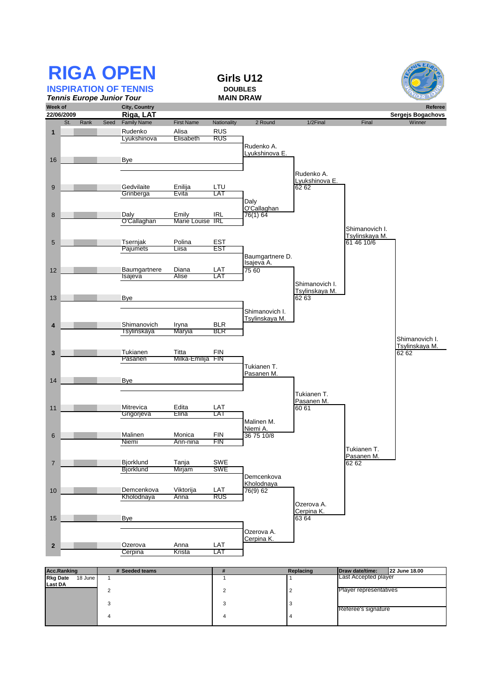|                 | <b>RIGA OPEN</b><br><b>INSPIRATION OF TENNIS</b> |                            |                           |                      | Girls U12<br><b>DOUBLES</b><br><b>MAIN DRAW</b> |                     |                                         |                   |
|-----------------|--------------------------------------------------|----------------------------|---------------------------|----------------------|-------------------------------------------------|---------------------|-----------------------------------------|-------------------|
| Week of         | <b>Tennis Europe Junior Tour</b>                 | <b>City, Country</b>       |                           |                      |                                                 |                     |                                         | Referee           |
| 22/06/2009      |                                                  | Riga, LAT                  |                           |                      |                                                 |                     |                                         | Sergejs Bogachovs |
|                 | Rank<br>St.                                      | Seed<br><b>Family Name</b> | <b>First Name</b>         | Nationality          | 2 Round                                         | 1/2Final            | Final                                   | Winner            |
| $\mathbf{1}$    |                                                  | Rudenko                    | Alisa                     | <b>RUS</b>           |                                                 |                     |                                         |                   |
|                 |                                                  | Lyukshinova                | Elisabeth                 | RUS                  |                                                 |                     |                                         |                   |
|                 |                                                  |                            |                           |                      | Rudenko A.                                      |                     |                                         |                   |
|                 |                                                  |                            |                           |                      | Lyukshinova E.                                  |                     |                                         |                   |
| 16              |                                                  | Bye                        |                           |                      |                                                 |                     |                                         |                   |
|                 |                                                  |                            |                           |                      |                                                 | Rudenko A.          |                                         |                   |
|                 |                                                  |                            |                           |                      |                                                 | Lyukshinova E.      |                                         |                   |
| 9               |                                                  | Gedvilaite<br>Grinberga    | Enilija<br>Evita          | LTU<br>LAT           |                                                 | 62 62               |                                         |                   |
|                 |                                                  |                            |                           |                      | Daly                                            |                     |                                         |                   |
|                 |                                                  |                            |                           |                      | O'Callaghan                                     |                     |                                         |                   |
| 8               |                                                  | Daly                       | Emily<br>Marie Louise IRL | <b>IRL</b>           | 76(1) 64                                        |                     |                                         |                   |
|                 |                                                  | O'Callaghan                |                           |                      |                                                 |                     | Shimanovich I.                          |                   |
|                 |                                                  |                            |                           |                      |                                                 |                     | Tsylinskaya M.                          |                   |
| 5               |                                                  | Tsernjak                   | Polina                    | EST                  |                                                 |                     | 61 46 10/6                              |                   |
|                 |                                                  | Pajumets                   | Liisa                     | EST                  |                                                 |                     |                                         |                   |
|                 |                                                  |                            |                           |                      | Baumgartnere D.<br>Isajeva A.                   |                     |                                         |                   |
| 12              |                                                  | Baumgartnere               | Diana                     | LAT                  | 75 60                                           |                     |                                         |                   |
|                 |                                                  | Isajeva                    | Alise                     | LAT                  |                                                 |                     |                                         |                   |
|                 |                                                  |                            |                           |                      |                                                 | Shimanovich I.      |                                         |                   |
|                 |                                                  |                            |                           |                      |                                                 | Tsylinskaya M.      |                                         |                   |
| 13              |                                                  | Bye                        |                           |                      |                                                 | 62 63               |                                         |                   |
|                 |                                                  |                            |                           |                      | Shimanovich I.                                  |                     |                                         |                   |
|                 |                                                  |                            |                           |                      | Tsylinskaya M.                                  |                     |                                         |                   |
| 4               |                                                  | Shimanovich                | Iryna                     | <b>BLR</b>           |                                                 |                     |                                         |                   |
|                 |                                                  | Tsylinskaya                | Maryia                    | BLR                  |                                                 |                     |                                         | Shimanovich I.    |
|                 |                                                  |                            |                           |                      |                                                 |                     |                                         | Tsylinskaya M.    |
| 3               |                                                  | Tukianen                   | Titta                     | <b>FIN</b>           |                                                 |                     |                                         | 62 62             |
|                 |                                                  | Pasanen                    | Milka-Emilija FIN         |                      |                                                 |                     |                                         |                   |
|                 |                                                  |                            |                           |                      | Tukianen T.<br>Pasanen M.                       |                     |                                         |                   |
| 14              |                                                  | Bye                        |                           |                      |                                                 |                     |                                         |                   |
|                 |                                                  |                            |                           |                      |                                                 |                     |                                         |                   |
|                 |                                                  |                            |                           |                      |                                                 | Tukianen T.         |                                         |                   |
| 11              |                                                  | Mitrevica                  | Edita                     | LAT                  |                                                 | Pasanen M.<br>60 61 |                                         |                   |
|                 |                                                  | Grigorjeva                 | Elina                     | LAT                  |                                                 |                     |                                         |                   |
|                 |                                                  |                            |                           |                      | Malinen M.                                      |                     |                                         |                   |
|                 |                                                  |                            |                           |                      | Niemi A.                                        |                     |                                         |                   |
| 6               |                                                  | Malinen<br>Niemi           | Monica<br>Ann-nina        | <b>FIN</b><br>FIN    | 36 75 10/8                                      |                     |                                         |                   |
|                 |                                                  |                            |                           |                      |                                                 |                     | Tukianen T.                             |                   |
|                 |                                                  |                            |                           |                      |                                                 |                     | Pasanen M.                              |                   |
| $\overline{7}$  |                                                  | <b>Bjorklund</b>           | Tanja                     | SWE                  |                                                 |                     | 62 62                                   |                   |
|                 |                                                  | Bjorklund                  | Mirjam                    | SWE                  |                                                 |                     |                                         |                   |
|                 |                                                  |                            |                           |                      | Demcenkova<br>Kholodnaya                        |                     |                                         |                   |
| 10              |                                                  | Demcenkova                 | Viktorija                 | LAT                  | 76(9) 62                                        |                     |                                         |                   |
|                 |                                                  | Kholodnaya                 | Anna                      | RUS                  |                                                 |                     |                                         |                   |
|                 |                                                  |                            |                           |                      |                                                 | Ozerova A.          |                                         |                   |
|                 |                                                  |                            |                           |                      |                                                 | Cerpina K.<br>63 64 |                                         |                   |
| 15              |                                                  | <b>Bye</b>                 |                           |                      |                                                 |                     |                                         |                   |
|                 |                                                  |                            |                           |                      | Ozerova A.                                      |                     |                                         |                   |
|                 |                                                  |                            |                           |                      | Cerpina K.                                      |                     |                                         |                   |
| $\overline{2}$  |                                                  | Ozerova                    | Anna                      | LAT<br>LAT           |                                                 |                     |                                         |                   |
|                 |                                                  | Cerpina                    | Krista                    |                      |                                                 |                     |                                         |                   |
|                 |                                                  |                            |                           |                      |                                                 |                     |                                         |                   |
| <b>Rkg Date</b> | <b>Acc.Ranking</b><br>18 June<br>$\mathbf{1}$    | # Seeded teams             |                           | $\#$<br>$\mathbf{1}$ | $\mathbf{1}$                                    | Replacing           | Draw date/time:<br>Last Accepted player | 22 June 18.00     |
| Last DA         |                                                  |                            |                           |                      |                                                 |                     |                                         |                   |
|                 | $\overline{2}$                                   |                            |                           | $\overline{2}$       | $\overline{\mathbf{c}}$                         |                     | Player representatives                  |                   |
|                 | 3                                                |                            |                           | 3                    | 3                                               |                     |                                         |                   |
|                 |                                                  |                            |                           |                      |                                                 |                     | Referee's signature                     |                   |

4 4 4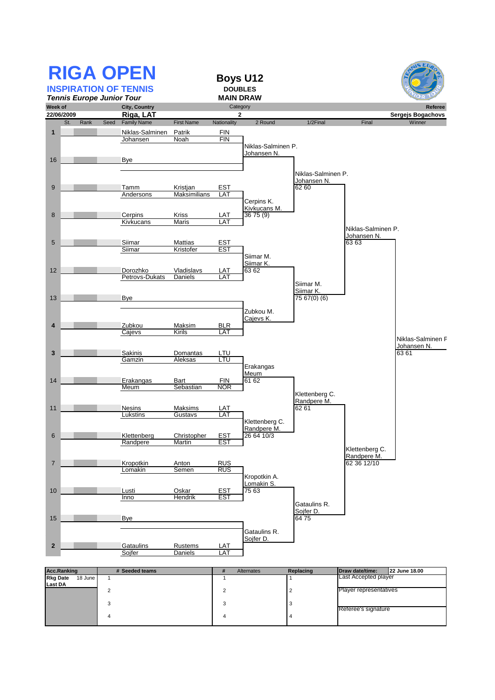| <b>RIGA OPEN</b><br><b>INSPIRATION OF TENNIS</b><br><b>Tennis Europe Junior Tour</b> |                                 |                             | <b>Boys U12</b><br><b>DOUBLES</b><br><b>MAIN DRAW</b> |                     |                    |                        |                             |
|--------------------------------------------------------------------------------------|---------------------------------|-----------------------------|-------------------------------------------------------|---------------------|--------------------|------------------------|-----------------------------|
| Week of                                                                              | <b>City, Country</b>            |                             | Category                                              |                     |                    |                        | Referee                     |
| 22/06/2009<br>Seed<br>St.<br>Rank                                                    | Riga, LAT<br><b>Family Name</b> | <b>First Name</b>           | $\mathbf{2}$<br>Nationality                           | 2 Round             | 1/2Final           | Final                  | Sergejs Bogachovs<br>Winner |
|                                                                                      |                                 |                             |                                                       |                     |                    |                        |                             |
| $\overline{1}$                                                                       | Niklas-Salminen<br>Johansen     | Patrik<br>Noah              | FIN<br>FIN                                            |                     |                    |                        |                             |
|                                                                                      |                                 |                             |                                                       | Niklas-Salminen P.  |                    |                        |                             |
|                                                                                      |                                 |                             |                                                       | Johansen N.         |                    |                        |                             |
| 16                                                                                   | Bye                             |                             |                                                       |                     |                    |                        |                             |
|                                                                                      |                                 |                             |                                                       |                     | Niklas-Salminen P. |                        |                             |
|                                                                                      |                                 |                             |                                                       |                     | Johansen N.        |                        |                             |
| 9                                                                                    | Tamm<br>Andersons               | Kristjan<br>Maksimilians    | <b>EST</b><br>LAT                                     |                     | 62 60              |                        |                             |
|                                                                                      |                                 |                             |                                                       | Cerpins K.          |                    |                        |                             |
|                                                                                      |                                 |                             |                                                       | Kivkucans M.        |                    |                        |                             |
| 8                                                                                    | Cerpins<br>Kivkucans            | Kriss<br><b>Maris</b>       | LAT<br>LAT                                            | 3675(9)             |                    |                        |                             |
|                                                                                      |                                 |                             |                                                       |                     |                    | Niklas-Salminen P.     |                             |
|                                                                                      |                                 |                             |                                                       |                     |                    | Johansen N.            |                             |
| 5                                                                                    | Siimar<br>Siimar                | <b>Mattias</b><br>Kristofer | <b>EST</b><br><b>EST</b>                              |                     |                    | 6363                   |                             |
|                                                                                      |                                 |                             |                                                       | Siimar M.           |                    |                        |                             |
|                                                                                      |                                 |                             |                                                       | Silmar K.           |                    |                        |                             |
| 12                                                                                   | Dorozhko<br>Petrovs-Dukats      | Vladislavs<br>Daniels       | LAT<br>LAT                                            | 63 62               |                    |                        |                             |
|                                                                                      |                                 |                             |                                                       |                     | Siimar M.          |                        |                             |
|                                                                                      |                                 |                             |                                                       |                     | Siimar K.          |                        |                             |
| 13                                                                                   | Bye                             |                             |                                                       |                     | 75 67(0) (6)       |                        |                             |
|                                                                                      |                                 |                             |                                                       | Zubkou M.           |                    |                        |                             |
|                                                                                      |                                 |                             |                                                       | Cajevs K.           |                    |                        |                             |
| $\overline{4}$                                                                       | Zubkou<br>Cajevs                | Maksim<br>Kirils            | <b>BLR</b><br>LAT                                     |                     |                    |                        |                             |
|                                                                                      |                                 |                             |                                                       |                     |                    |                        | Niklas-Salminen F           |
|                                                                                      |                                 |                             |                                                       |                     |                    |                        | Johansen N.                 |
| 3                                                                                    | Sakinis<br>Gamzin               | Domantas<br>Aleksas         | LTU<br>LTU                                            |                     |                    |                        | 6361                        |
|                                                                                      |                                 |                             |                                                       | Erakangas           |                    |                        |                             |
|                                                                                      |                                 |                             |                                                       | Meum                |                    |                        |                             |
| 14                                                                                   | Erakangas<br>Meum               | Bart<br>Sebastian           | FIN<br><b>NOR</b>                                     | 61 62               |                    |                        |                             |
|                                                                                      |                                 |                             |                                                       |                     | Klettenberg C.     |                        |                             |
|                                                                                      |                                 |                             |                                                       |                     | Randpere M.        |                        |                             |
| 11                                                                                   | <b>Nesins</b><br>Lukstins       | Maksims<br>Gustavs          | LAT<br>LA <sub>1</sub>                                |                     | 62 61              |                        |                             |
|                                                                                      |                                 |                             |                                                       | Klettenberg C.      |                    |                        |                             |
|                                                                                      |                                 |                             |                                                       | Randpere M.         |                    |                        |                             |
| 6                                                                                    | Klettenberg<br>Randpere         | Christopher<br>Martin       | EST<br><b>EST</b>                                     | 26 64 10/3          |                    |                        |                             |
|                                                                                      |                                 |                             |                                                       |                     |                    | Klettenberg C.         |                             |
|                                                                                      |                                 |                             |                                                       |                     |                    | Randpere M.            |                             |
| $\overline{7}$                                                                       | Kropotkin<br>Lomakin            | Anton<br>Semen              | <b>RUS</b><br><b>RUS</b>                              |                     |                    | 62 36 12/10            |                             |
|                                                                                      |                                 |                             |                                                       | Kropotkin A.        |                    |                        |                             |
| 10                                                                                   |                                 |                             |                                                       | Lomakin S.<br>75 63 |                    |                        |                             |
|                                                                                      | Lusti<br>Inno                   | Oskar<br>Hendrik            | <b>EST</b><br><b>EST</b>                              |                     |                    |                        |                             |
|                                                                                      |                                 |                             |                                                       |                     | Gataulins R.       |                        |                             |
|                                                                                      |                                 |                             |                                                       |                     | Sojfer D.          |                        |                             |
| 15                                                                                   | <b>Bye</b>                      |                             |                                                       |                     | 6475               |                        |                             |
|                                                                                      |                                 |                             |                                                       | Gataulins R.        |                    |                        |                             |
|                                                                                      | Gataulins                       |                             |                                                       | Sojfer D.           |                    |                        |                             |
| $\mathbf{2}$                                                                         | Sojfer                          | Rustems<br><b>Daniels</b>   | LAT<br>LAT                                            |                     |                    |                        |                             |
|                                                                                      |                                 |                             |                                                       |                     |                    |                        |                             |
| <b>Acc.Ranking</b>                                                                   | # Seeded teams                  |                             | #                                                     | Alternates          | Replacing          | Draw date/time:        | 22 June 18.00               |
| <b>Rkg Date</b><br>18 June<br>$\mathbf{1}$                                           |                                 |                             | $\mathbf{1}$                                          |                     | $\mathbf{1}$       | Last Accepted player   |                             |
| Last DA<br>$\overline{\mathbf{c}}$                                                   |                                 |                             | 2                                                     |                     | $\mathbf 2$        | Player representatives |                             |
|                                                                                      |                                 |                             |                                                       |                     |                    |                        |                             |
| 3                                                                                    |                                 |                             | 3                                                     |                     | 3                  | Referee's signature    |                             |
| 4                                                                                    |                                 |                             | 4                                                     |                     | 4                  |                        |                             |
|                                                                                      |                                 |                             |                                                       |                     |                    |                        |                             |